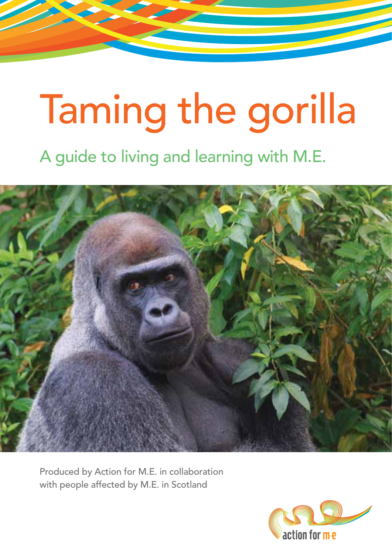# Taming the gorilla

# A guide to living and learning with M.E.



Produced by Action for M.E. in collaboration with people affected by M.E. in Scotland

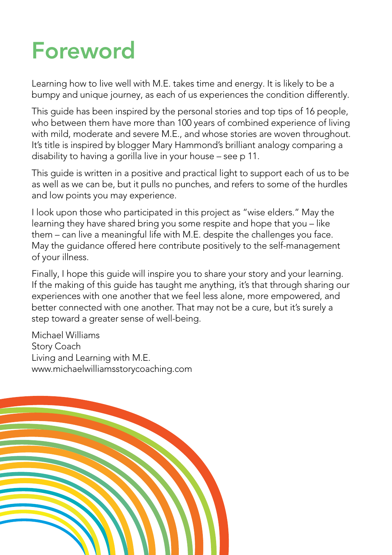# Foreword

Learning how to live well with M.E. takes time and energy. It is likely to be a bumpy and unique journey, as each of us experiences the condition differently.

This guide has been inspired by the personal stories and top tips of 16 people, who between them have more than 100 years of combined experience of living with mild, moderate and severe M.E., and whose stories are woven throughout. It's title is inspired by blogger Mary Hammond's brilliant analogy comparing a disability to having a gorilla live in your house – see p 11.

This guide is written in a positive and practical light to support each of us to be as well as we can be, but it pulls no punches, and refers to some of the hurdles and low points you may experience.

I look upon those who participated in this project as "wise elders." May the learning they have shared bring you some respite and hope that you – like them – can live a meaningful life with M.E. despite the challenges you face. May the guidance offered here contribute positively to the self-management of your illness.

Finally, I hope this guide will inspire you to share your story and your learning. If the making of this guide has taught me anything, it's that through sharing our experiences with one another that we feel less alone, more empowered, and better connected with one another. That may not be a cure, but it's surely a step toward a greater sense of well-being.

Michael Williams Story Coach Living and Learning with M.E. www.michaelwilliamsstorycoaching.com

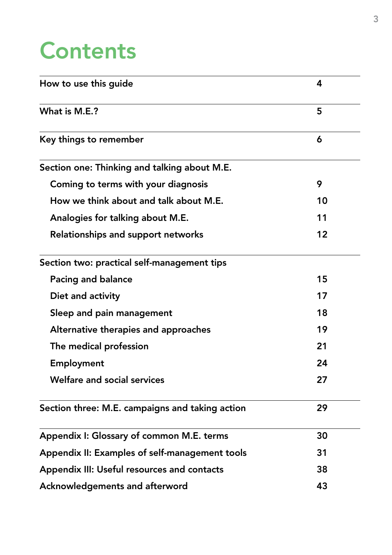# **Contents**

| How to use this guide                           | 4  |
|-------------------------------------------------|----|
| What is M.E.?                                   | 5  |
| Key things to remember                          | 6  |
| Section one: Thinking and talking about M.E.    |    |
| Coming to terms with your diagnosis             | 9  |
| How we think about and talk about M.E.          | 10 |
| Analogies for talking about M.E.                | 11 |
| Relationships and support networks              | 12 |
| Section two: practical self-management tips     |    |
| Pacing and balance                              | 15 |
| Diet and activity                               | 17 |
| Sleep and pain management                       | 18 |
| Alternative therapies and approaches            | 19 |
| The medical profession                          | 21 |
| Employment                                      | 24 |
| Welfare and social services                     | 27 |
| Section three: M.E. campaigns and taking action | 29 |
| Appendix I: Glossary of common M.E. terms       | 30 |
| Appendix II: Examples of self-management tools  | 31 |
| Appendix III: Useful resources and contacts     | 38 |
| Acknowledgements and afterword                  | 43 |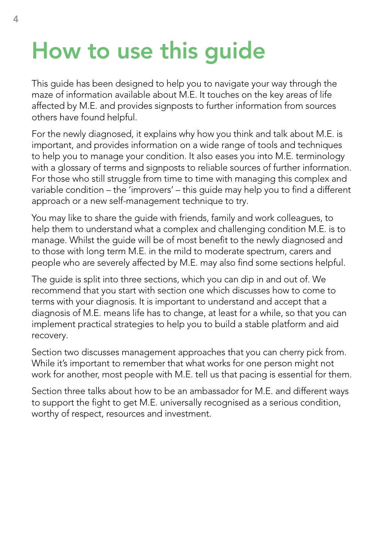# How to use this guide

This guide has been designed to help you to navigate your way through the maze of information available about M.E. It touches on the key areas of life affected by M.E. and provides signposts to further information from sources others have found helpful.

For the newly diagnosed, it explains why how you think and talk about M.E. is important, and provides information on a wide range of tools and techniques to help you to manage your condition. It also eases you into M.E. terminology with a glossary of terms and signposts to reliable sources of further information. For those who still struggle from time to time with managing this complex and variable condition – the 'improvers' – this guide may help you to find a different approach or a new self-management technique to try.

You may like to share the guide with friends, family and work colleagues, to help them to understand what a complex and challenging condition M.E. is to manage. Whilst the guide will be of most benefit to the newly diagnosed and to those with long term M.E. in the mild to moderate spectrum, carers and people who are severely affected by M.E. may also find some sections helpful.

The guide is split into three sections, which you can dip in and out of. We recommend that you start with section one which discusses how to come to terms with your diagnosis. It is important to understand and accept that a diagnosis of M.E. means life has to change, at least for a while, so that you can implement practical strategies to help you to build a stable platform and aid recovery.

Section two discusses management approaches that you can cherry pick from. While it's important to remember that what works for one person might not work for another, most people with M.E. tell us that pacing is essential for them.

Section three talks about how to be an ambassador for M.E. and different ways to support the fight to get M.E. universally recognised as a serious condition, worthy of respect, resources and investment.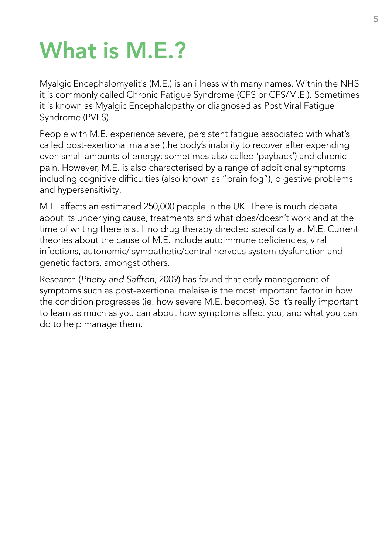# What is M.E.?

Myalgic Encephalomyelitis (M.E.) is an illness with many names. Within the NHS it is commonly called Chronic Fatigue Syndrome (CFS or CFS/M.E.). Sometimes it is known as Myalgic Encephalopathy or diagnosed as Post Viral Fatigue Syndrome (PVFS).

People with M.E. experience severe, persistent fatigue associated with what's called post-exertional malaise (the body's inability to recover after expending even small amounts of energy; sometimes also called 'payback') and chronic pain. However, M.E. is also characterised by a range of additional symptoms including cognitive difficulties (also known as "brain fog"), digestive problems and hypersensitivity.

M.E. affects an estimated 250,000 people in the UK. There is much debate about its underlying cause, treatments and what does/doesn't work and at the time of writing there is still no drug therapy directed specifically at M.E. Current theories about the cause of M.E. include autoimmune deficiencies, viral infections, autonomic/ sympathetic/central nervous system dysfunction and genetic factors, amongst others.

Research (Pheby and Saffron, 2009) has found that early management of symptoms such as post-exertional malaise is the most important factor in how the condition progresses (ie. how severe M.E. becomes). So it's really important to learn as much as you can about how symptoms affect you, and what you can do to help manage them.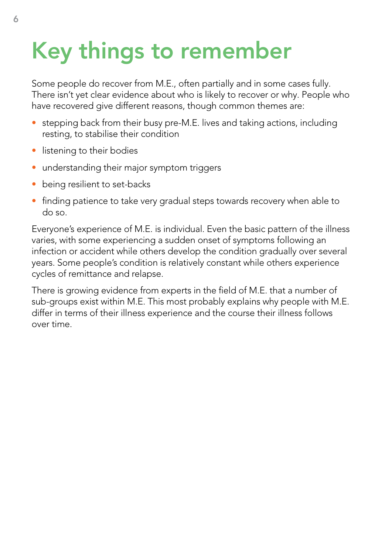# Key things to remember

Some people do recover from M.E., often partially and in some cases fully. There isn't yet clear evidence about who is likely to recover or why. People who have recovered give different reasons, though common themes are:

- stepping back from their busy pre-M.E. lives and taking actions, including resting, to stabilise their condition
- listening to their bodies
- understanding their major symptom triggers
- being resilient to set-backs
- finding patience to take very gradual steps towards recovery when able to do so.

Everyone's experience of M.E. is individual. Even the basic pattern of the illness varies, with some experiencing a sudden onset of symptoms following an infection or accident while others develop the condition gradually over several years. Some people's condition is relatively constant while others experience cycles of remittance and relapse.

There is growing evidence from experts in the field of M.E. that a number of sub-groups exist within M.E. This most probably explains why people with M.E. differ in terms of their illness experience and the course their illness follows over time.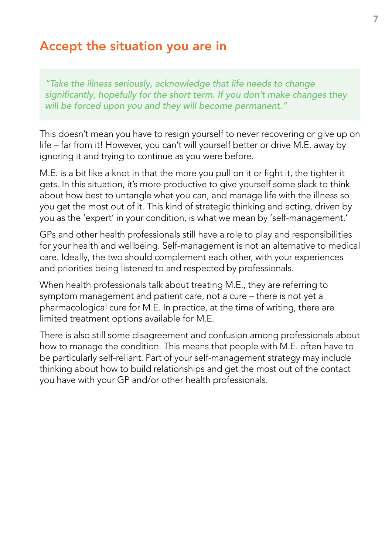#### Accept the situation you are in

"Take the illness seriously, acknowledge that life needs to change significantly, hopefully for the short term. If you don't make changes they will be forced upon you and they will become permanent."

This doesn't mean you have to resign yourself to never recovering or give up on life – far from it! However, you can't will yourself better or drive M.E. away by ignoring it and trying to continue as you were before.

M.E. is a bit like a knot in that the more you pull on it or fight it, the tighter it gets. In this situation, it's more productive to give yourself some slack to think about how best to untangle what you can, and manage life with the illness so you get the most out of it. This kind of strategic thinking and acting, driven by you as the 'expert' in your condition, is what we mean by 'self-management.'

GPs and other health professionals still have a role to play and responsibilities for your health and wellbeing. Self-management is not an alternative to medical care. Ideally, the two should complement each other, with your experiences and priorities being listened to and respected by professionals.

When health professionals talk about treating M.E., they are referring to symptom management and patient care, not a cure – there is not yet a pharmacological cure for M.E. In practice, at the time of writing, there are limited treatment options available for M.E.

There is also still some disagreement and confusion among professionals about how to manage the condition. This means that people with M.E. often have to be particularly self-reliant. Part of your self-management strategy may include thinking about how to build relationships and get the most out of the contact you have with your GP and/or other health professionals.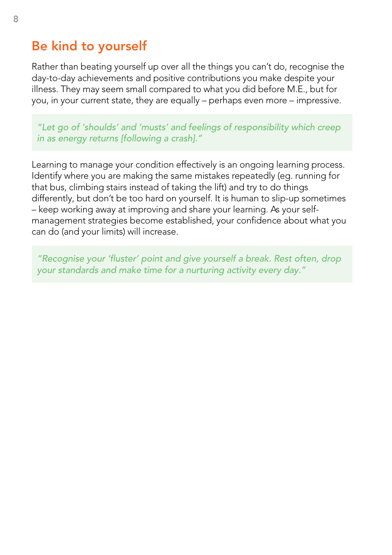#### Be kind to yourself

Rather than beating yourself up over all the things you can't do, recognise the day-to-day achievements and positive contributions you make despite your illness. They may seem small compared to what you did before M.E., but for you, in your current state, they are equally – perhaps even more – impressive.

"Let go of 'shoulds' and 'musts' and feelings of responsibility which creep in as energy returns [following a crash]."

Learning to manage your condition effectively is an ongoing learning process. Identify where you are making the same mistakes repeatedly (eg. running for that bus, climbing stairs instead of taking the lift) and try to do things differently, but don't be too hard on yourself. It is human to slip-up sometimes – keep working away at improving and share your learning. As your selfmanagement strategies become established, your confidence about what you can do (and your limits) will increase.

"Recognise your 'fluster' point and give yourself a break. Rest often, drop your standards and make time for a nurturing activity every day."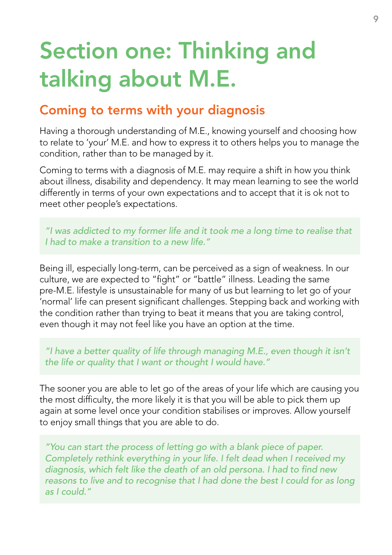# Section one: Thinking and talking about M.E.

### Coming to terms with your diagnosis

Having a thorough understanding of M.E., knowing yourself and choosing how to relate to 'your' M.E. and how to express it to others helps you to manage the condition, rather than to be managed by it.

Coming to terms with a diagnosis of M.E. may require a shift in how you think about illness, disability and dependency. It may mean learning to see the world differently in terms of your own expectations and to accept that it is ok not to meet other people's expectations.

"I was addicted to my former life and it took me a long time to realise that I had to make a transition to a new life."

Being ill, especially long-term, can be perceived as a sign of weakness. In our culture, we are expected to "fight" or "battle" illness. Leading the same pre-M.E. lifestyle is unsustainable for many of us but learning to let go of your 'normal' life can present significant challenges. Stepping back and working with the condition rather than trying to beat it means that you are taking control, even though it may not feel like you have an option at the time.

"I have a better quality of life through managing M.E., even though it isn't the life or quality that I want or thought I would have."

The sooner you are able to let go of the areas of your life which are causing you the most difficulty, the more likely it is that you will be able to pick them up again at some level once your condition stabilises or improves. Allow yourself to enjoy small things that you are able to do.

"You can start the process of letting go with a blank piece of paper. Completely rethink everything in your life. I felt dead when I received my diagnosis, which felt like the death of an old persona. I had to find new reasons to live and to recognise that I had done the best I could for as long as I could."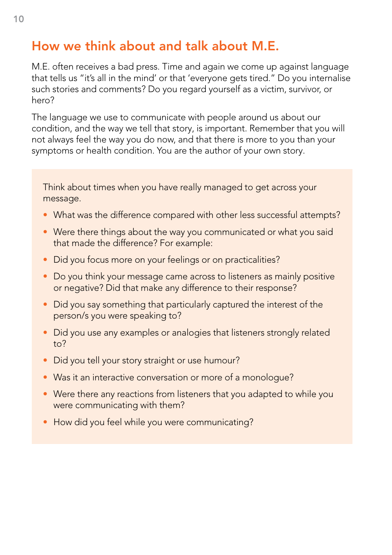### How we think about and talk about M.E.

M.E. often receives a bad press. Time and again we come up against language that tells us "it's all in the mind' or that 'everyone gets tired." Do you internalise such stories and comments? Do you regard yourself as a victim, survivor, or hero?

The language we use to communicate with people around us about our condition, and the way we tell that story, is important. Remember that you will not always feel the way you do now, and that there is more to you than your symptoms or health condition. You are the author of your own story.

Think about times when you have really managed to get across your message.

- What was the difference compared with other less successful attempts?
- Were there things about the way you communicated or what you said that made the difference? For example:
- Did you focus more on your feelings or on practicalities?
- Do you think your message came across to listeners as mainly positive or negative? Did that make any difference to their response?
- Did you say something that particularly captured the interest of the person/s you were speaking to?
- Did you use any examples or analogies that listeners strongly related  $to$ ?
- Did you tell your story straight or use humour?
- Was it an interactive conversation or more of a monologue?
- Were there any reactions from listeners that you adapted to while you were communicating with them?
- How did you feel while you were communicating?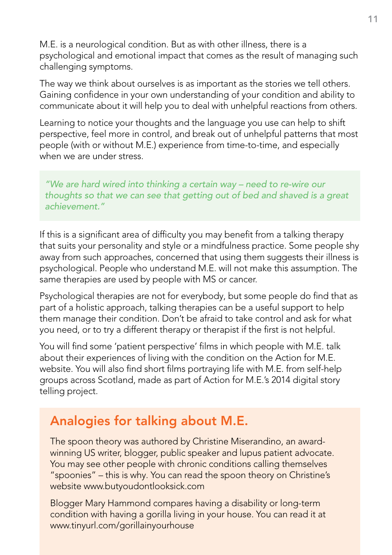M.E. is a neurological condition. But as with other illness, there is a psychological and emotional impact that comes as the result of managing such challenging symptoms.

The way we think about ourselves is as important as the stories we tell others. Gaining confidence in your own understanding of your condition and ability to communicate about it will help you to deal with unhelpful reactions from others.

Learning to notice your thoughts and the language you use can help to shift perspective, feel more in control, and break out of unhelpful patterns that most people (with or without M.E.) experience from time-to-time, and especially when we are under stress.

"We are hard wired into thinking a certain way – need to re-wire our thoughts so that we can see that getting out of bed and shaved is a great achievement."

If this is a significant area of difficulty you may benefit from a talking therapy that suits your personality and style or a mindfulness practice. Some people shy away from such approaches, concerned that using them suggests their illness is psychological. People who understand M.E. will not make this assumption. The same therapies are used by people with MS or cancer.

Psychological therapies are not for everybody, but some people do find that as part of a holistic approach, talking therapies can be a useful support to help them manage their condition. Don't be afraid to take control and ask for what you need, or to try a different therapy or therapist if the first is not helpful.

You will find some 'patient perspective' films in which people with M.E. talk about their experiences of living with the condition on the Action for M.E. website. You will also find short films portraying life with M.E. from self-help groups across Scotland, made as part of Action for M.E.'s 2014 digital story telling project.

### Analogies for talking about M.E.

The spoon theory was authored by Christine Miserandino, an awardwinning US writer, blogger, public speaker and lupus patient advocate. You may see other people with chronic conditions calling themselves "spoonies" – this is why. You can read the spoon theory on Christine's website www.butyoudontlooksick.com

Blogger Mary Hammond compares having a disability or long-term condition with having a gorilla living in your house. You can read it at www.tinyurl.com/gorillainyourhouse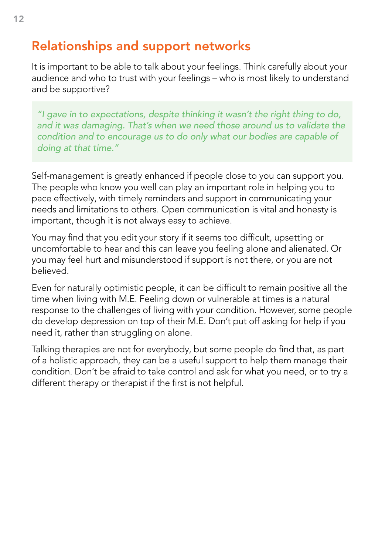### Relationships and support networks

It is important to be able to talk about your feelings. Think carefully about your audience and who to trust with your feelings – who is most likely to understand and be supportive?

"I gave in to expectations, despite thinking it wasn't the right thing to do, and it was damaging. That's when we need those around us to validate the condition and to encourage us to do only what our bodies are capable of doing at that time."

Self-management is greatly enhanced if people close to you can support you. The people who know you well can play an important role in helping you to pace effectively, with timely reminders and support in communicating your needs and limitations to others. Open communication is vital and honesty is important, though it is not always easy to achieve.

You may find that you edit your story if it seems too difficult, upsetting or uncomfortable to hear and this can leave you feeling alone and alienated. Or you may feel hurt and misunderstood if support is not there, or you are not believed.

Even for naturally optimistic people, it can be difficult to remain positive all the time when living with M.E. Feeling down or vulnerable at times is a natural response to the challenges of living with your condition. However, some people do develop depression on top of their M.E. Don't put off asking for help if you need it, rather than struggling on alone.

Talking therapies are not for everybody, but some people do find that, as part of a holistic approach, they can be a useful support to help them manage their condition. Don't be afraid to take control and ask for what you need, or to try a different therapy or therapist if the first is not helpful.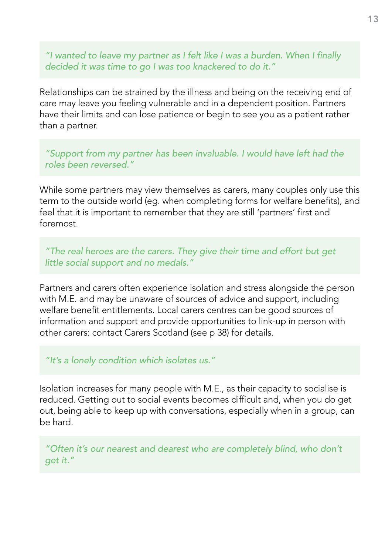"I wanted to leave my partner as I felt like I was a burden. When I finally decided it was time to go I was too knackered to do it."

Relationships can be strained by the illness and being on the receiving end of care may leave you feeling vulnerable and in a dependent position. Partners have their limits and can lose patience or begin to see you as a patient rather than a partner.

"Support from my partner has been invaluable. I would have left had the roles been reversed."

While some partners may view themselves as carers, many couples only use this term to the outside world (eg. when completing forms for welfare benefits), and feel that it is important to remember that they are still 'partners' first and foremost.

"The real heroes are the carers. They give their time and effort but get little social support and no medals."

Partners and carers often experience isolation and stress alongside the person with M.E. and may be unaware of sources of advice and support, including welfare benefit entitlements. Local carers centres can be good sources of information and support and provide opportunities to link-up in person with other carers: contact Carers Scotland (see p 38) for details.

"It's a lonely condition which isolates us."

Isolation increases for many people with M.E., as their capacity to socialise is reduced. Getting out to social events becomes difficult and, when you do get out, being able to keep up with conversations, especially when in a group, can be hard.

"Often it's our nearest and dearest who are completely blind, who don't get it."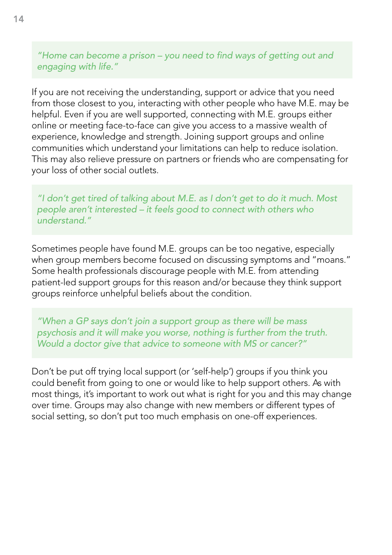"Home can become a prison – you need to find ways of getting out and engaging with life."

If you are not receiving the understanding, support or advice that you need from those closest to you, interacting with other people who have M.E. may be helpful. Even if you are well supported, connecting with M.E. groups either online or meeting face-to-face can give you access to a massive wealth of experience, knowledge and strength. Joining support groups and online communities which understand your limitations can help to reduce isolation. This may also relieve pressure on partners or friends who are compensating for your loss of other social outlets.

"I don't get tired of talking about M.E. as I don't get to do it much. Most people aren't interested – it feels good to connect with others who understand."

Sometimes people have found M.E. groups can be too negative, especially when group members become focused on discussing symptoms and "moans." Some health professionals discourage people with M.E. from attending patient-led support groups for this reason and/or because they think support groups reinforce unhelpful beliefs about the condition.

"When a GP says don't join a support group as there will be mass psychosis and it will make you worse, nothing is further from the truth. Would a doctor give that advice to someone with MS or cancer?"

Don't be put off trying local support (or 'self-help') groups if you think you could benefit from going to one or would like to help support others. As with most things, it's important to work out what is right for you and this may change over time. Groups may also change with new members or different types of social setting, so don't put too much emphasis on one-off experiences.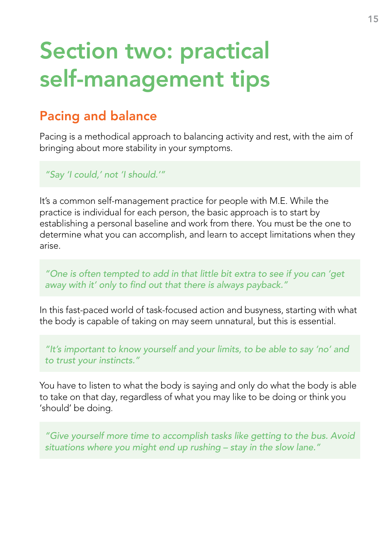# Section two: practical self-management tips

# Pacing and balance

Pacing is a methodical approach to balancing activity and rest, with the aim of bringing about more stability in your symptoms.

"Say 'I could,' not 'I should.'"

It's a common self-management practice for people with M.E. While the practice is individual for each person, the basic approach is to start by establishing a personal baseline and work from there. You must be the one to determine what you can accomplish, and learn to accept limitations when they arise.

"One is often tempted to add in that little bit extra to see if you can 'get away with it' only to find out that there is always payback."

In this fast-paced world of task-focused action and busyness, starting with what the body is capable of taking on may seem unnatural, but this is essential.

"It's important to know yourself and your limits, to be able to say 'no' and to trust your instincts."

You have to listen to what the body is saying and only do what the body is able to take on that day, regardless of what you may like to be doing or think you 'should' be doing.

"Give yourself more time to accomplish tasks like getting to the bus. Avoid situations where you might end up rushing – stay in the slow lane."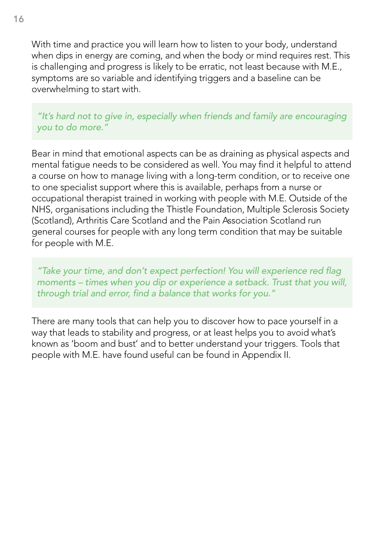With time and practice you will learn how to listen to your body, understand when dips in energy are coming, and when the body or mind requires rest. This is challenging and progress is likely to be erratic, not least because with M.E., symptoms are so variable and identifying triggers and a baseline can be overwhelming to start with.

"It's hard not to give in, especially when friends and family are encouraging you to do more."

Bear in mind that emotional aspects can be as draining as physical aspects and mental fatigue needs to be considered as well. You may find it helpful to attend a course on how to manage living with a long-term condition, or to receive one to one specialist support where this is available, perhaps from a nurse or occupational therapist trained in working with people with M.E. Outside of the NHS, organisations including the Thistle Foundation, Multiple Sclerosis Society (Scotland), Arthritis Care Scotland and the Pain Association Scotland run general courses for people with any long term condition that may be suitable for people with M.E.

"Take your time, and don't expect perfection! You will experience red flag moments – times when you dip or experience a setback. Trust that you will, through trial and error, find a balance that works for you."

There are many tools that can help you to discover how to pace yourself in a way that leads to stability and progress, or at least helps you to avoid what's known as 'boom and bust' and to better understand your triggers. Tools that people with M.E. have found useful can be found in Appendix II.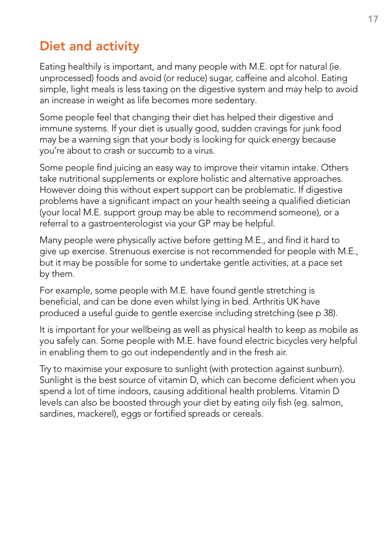# Diet and activity

Eating healthily is important, and many people with M.E. opt for natural (ie. unprocessed) foods and avoid (or reduce) sugar, caffeine and alcohol. Eating simple, light meals is less taxing on the digestive system and may help to avoid an increase in weight as life becomes more sedentary.

Some people feel that changing their diet has helped their digestive and immune systems. If your diet is usually good, sudden cravings for junk food may be a warning sign that your body is looking for quick energy because you're about to crash or succumb to a virus.

Some people find juicing an easy way to improve their vitamin intake. Others take nutritional supplements or explore holistic and alternative approaches. However doing this without expert support can be problematic. If digestive problems have a significant impact on your health seeing a qualified dietician (your local M.E. support group may be able to recommend someone), or a referral to a gastroenterologist via your GP may be helpful.

Many people were physically active before getting M.E., and find it hard to give up exercise. Strenuous exercise is not recommended for people with M.E., but it may be possible for some to undertake gentle activities, at a pace set by them.

For example, some people with M.E. have found gentle stretching is beneficial, and can be done even whilst lying in bed. Arthritis UK have produced a useful guide to gentle exercise including stretching (see p 38).

It is important for your wellbeing as well as physical health to keep as mobile as you safely can. Some people with M.E. have found electric bicycles very helpful in enabling them to go out independently and in the fresh air.

Try to maximise your exposure to sunlight (with protection against sunburn). Sunlight is the best source of vitamin D, which can become deficient when you spend a lot of time indoors, causing additional health problems. Vitamin D levels can also be boosted through your diet by eating oily fish (eg. salmon, sardines, mackerel), eggs or fortified spreads or cereals.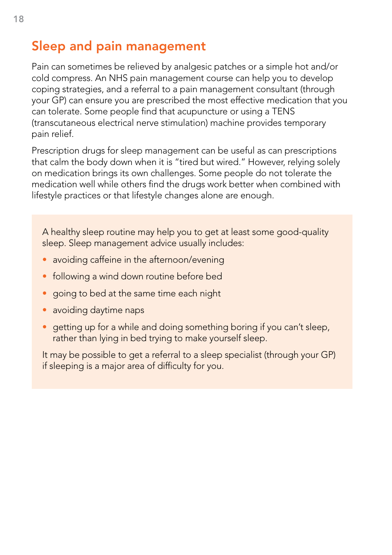### Sleep and pain management

Pain can sometimes be relieved by analgesic patches or a simple hot and/or cold compress. An NHS pain management course can help you to develop coping strategies, and a referral to a pain management consultant (through your GP) can ensure you are prescribed the most effective medication that you can tolerate. Some people find that acupuncture or using a TENS (transcutaneous electrical nerve stimulation) machine provides temporary pain relief.

Prescription drugs for sleep management can be useful as can prescriptions that calm the body down when it is "tired but wired." However, relying solely on medication brings its own challenges. Some people do not tolerate the medication well while others find the drugs work better when combined with lifestyle practices or that lifestyle changes alone are enough.

A healthy sleep routine may help you to get at least some good-quality sleep. Sleep management advice usually includes:

- avoiding caffeine in the afternoon/evening
- following a wind down routine before bed
- going to bed at the same time each night
- avoiding daytime naps
- getting up for a while and doing something boring if you can't sleep, rather than lying in bed trying to make yourself sleep.

It may be possible to get a referral to a sleep specialist (through your GP) if sleeping is a major area of difficulty for you.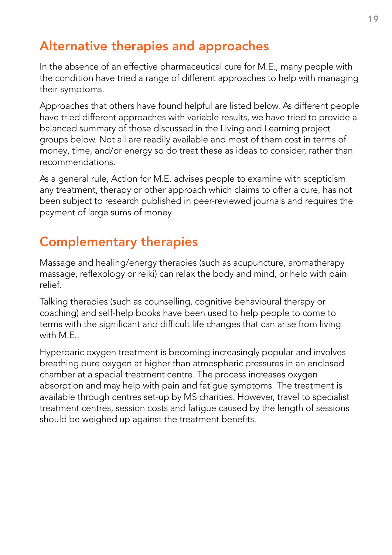# Alternative therapies and approaches

In the absence of an effective pharmaceutical cure for M.E., many people with the condition have tried a range of different approaches to help with managing their symptoms.

Approaches that others have found helpful are listed below. As different people have tried different approaches with variable results, we have tried to provide a balanced summary of those discussed in the Living and Learning project groups below. Not all are readily available and most of them cost in terms of money, time, and/or energy so do treat these as ideas to consider, rather than recommendations.

As a general rule, Action for M.E. advises people to examine with scepticism any treatment, therapy or other approach which claims to offer a cure, has not been subject to research published in peer-reviewed journals and requires the payment of large sums of money.

### Complementary therapies

Massage and healing/energy therapies (such as acupuncture, aromatherapy massage, reflexology or reiki) can relax the body and mind, or help with pain relief.

Talking therapies (such as counselling, cognitive behavioural therapy or coaching) and self-help books have been used to help people to come to terms with the significant and difficult life changes that can arise from living with M.E..

Hyperbaric oxygen treatment is becoming increasingly popular and involves breathing pure oxygen at higher than atmospheric pressures in an enclosed chamber at a special treatment centre. The process increases oxygen absorption and may help with pain and fatigue symptoms. The treatment is available through centres set-up by MS charities. However, travel to specialist treatment centres, session costs and fatigue caused by the length of sessions should be weighed up against the treatment benefits.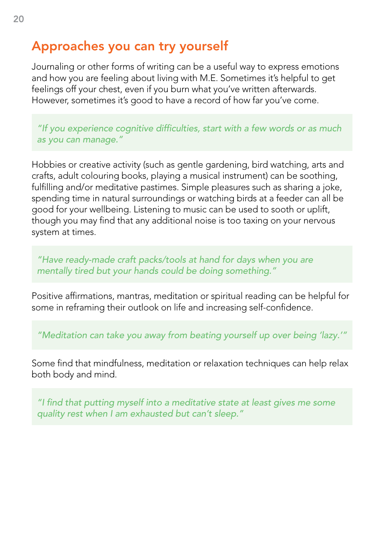#### Approaches you can try yourself

Journaling or other forms of writing can be a useful way to express emotions and how you are feeling about living with M.E. Sometimes it's helpful to get feelings off your chest, even if you burn what you've written afterwards. However, sometimes it's good to have a record of how far you've come.

"If you experience cognitive difficulties, start with a few words or as much as you can manage."

Hobbies or creative activity (such as gentle gardening, bird watching, arts and crafts, adult colouring books, playing a musical instrument) can be soothing, fulfilling and/or meditative pastimes. Simple pleasures such as sharing a joke, spending time in natural surroundings or watching birds at a feeder can all be good for your wellbeing. Listening to music can be used to sooth or uplift, though you may find that any additional noise is too taxing on your nervous system at times.

"Have ready-made craft packs/tools at hand for days when you are mentally tired but your hands could be doing something."

Positive affirmations, mantras, meditation or spiritual reading can be helpful for some in reframing their outlook on life and increasing self-confidence.

"Meditation can take you away from beating yourself up over being 'lazy.'"

Some find that mindfulness, meditation or relaxation techniques can help relax both body and mind.

"I find that putting myself into a meditative state at least gives me some quality rest when I am exhausted but can't sleep."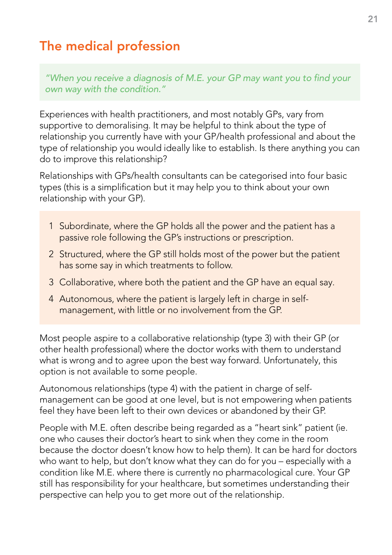# The medical profession

"When you receive a diagnosis of M.E. your GP may want you to find your own way with the condition."

Experiences with health practitioners, and most notably GPs, vary from supportive to demoralising. It may be helpful to think about the type of relationship you currently have with your GP/health professional and about the type of relationship you would ideally like to establish. Is there anything you can do to improve this relationship?

Relationships with GPs/health consultants can be categorised into four basic types (this is a simplification but it may help you to think about your own relationship with your GP).

- 1 Subordinate, where the GP holds all the power and the patient has a passive role following the GP's instructions or prescription.
- 2 Structured, where the GP still holds most of the power but the patient has some say in which treatments to follow.
- 3 Collaborative, where both the patient and the GP have an equal say.
- 4 Autonomous, where the patient is largely left in charge in selfmanagement, with little or no involvement from the GP.

Most people aspire to a collaborative relationship (type 3) with their GP (or other health professional) where the doctor works with them to understand what is wrong and to agree upon the best way forward. Unfortunately, this option is not available to some people.

Autonomous relationships (type 4) with the patient in charge of selfmanagement can be good at one level, but is not empowering when patients feel they have been left to their own devices or abandoned by their GP.

People with M.E. often describe being regarded as a "heart sink" patient (ie. one who causes their doctor's heart to sink when they come in the room because the doctor doesn't know how to help them). It can be hard for doctors who want to help, but don't know what they can do for you – especially with a condition like M.E. where there is currently no pharmacological cure. Your GP still has responsibility for your healthcare, but sometimes understanding their perspective can help you to get more out of the relationship.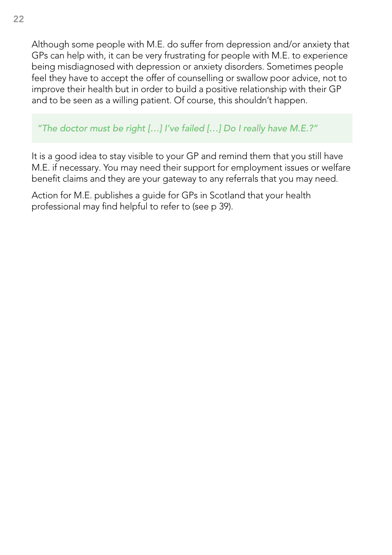Although some people with M.E. do suffer from depression and/or anxiety that GPs can help with, it can be very frustrating for people with M.E. to experience being misdiagnosed with depression or anxiety disorders. Sometimes people feel they have to accept the offer of counselling or swallow poor advice, not to improve their health but in order to build a positive relationship with their GP and to be seen as a willing patient. Of course, this shouldn't happen.

#### "The doctor must be right […] I've failed […] Do I really have M.E.?"

It is a good idea to stay visible to your GP and remind them that you still have M.E. if necessary. You may need their support for employment issues or welfare benefit claims and they are your gateway to any referrals that you may need.

Action for M.E. publishes a guide for GPs in Scotland that your health professional may find helpful to refer to (see p 39).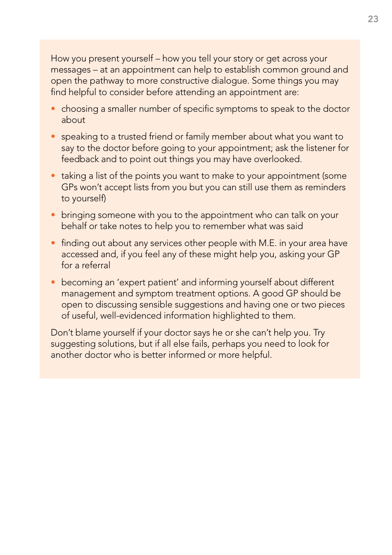How you present yourself – how you tell your story or get across your messages – at an appointment can help to establish common ground and open the pathway to more constructive dialogue. Some things you may find helpful to consider before attending an appointment are:

- choosing a smaller number of specific symptoms to speak to the doctor about
- speaking to a trusted friend or family member about what you want to say to the doctor before going to your appointment; ask the listener for feedback and to point out things you may have overlooked.
- taking a list of the points you want to make to your appointment (some GPs won't accept lists from you but you can still use them as reminders to yourself)
- bringing someone with you to the appointment who can talk on your behalf or take notes to help you to remember what was said
- finding out about any services other people with M.E. in your area have accessed and, if you feel any of these might help you, asking your GP for a referral
- becoming an 'expert patient' and informing yourself about different management and symptom treatment options. A good GP should be open to discussing sensible suggestions and having one or two pieces of useful, well-evidenced information highlighted to them.

Don't blame yourself if your doctor says he or she can't help you. Try suggesting solutions, but if all else fails, perhaps you need to look for another doctor who is better informed or more helpful.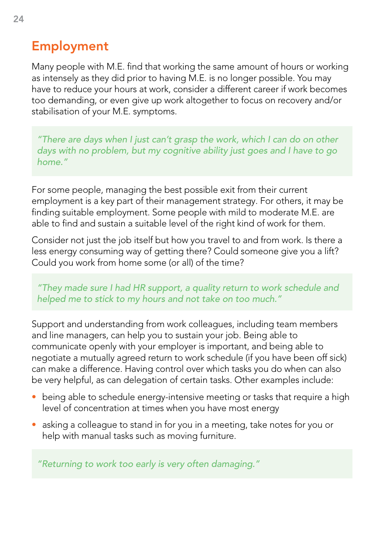### Employment

Many people with M.E. find that working the same amount of hours or working as intensely as they did prior to having M.E. is no longer possible. You may have to reduce your hours at work, consider a different career if work becomes too demanding, or even give up work altogether to focus on recovery and/or stabilisation of your M.E. symptoms.

"There are days when I just can't grasp the work, which I can do on other days with no problem, but my cognitive ability just goes and I have to go home."

For some people, managing the best possible exit from their current employment is a key part of their management strategy. For others, it may be finding suitable employment. Some people with mild to moderate M.E. are able to find and sustain a suitable level of the right kind of work for them.

Consider not just the job itself but how you travel to and from work. Is there a less energy consuming way of getting there? Could someone give you a lift? Could you work from home some (or all) of the time?

"They made sure I had HR support, a quality return to work schedule and helped me to stick to my hours and not take on too much."

Support and understanding from work colleagues, including team members and line managers, can help you to sustain your job. Being able to communicate openly with your employer is important, and being able to negotiate a mutually agreed return to work schedule (if you have been off sick) can make a difference. Having control over which tasks you do when can also be very helpful, as can delegation of certain tasks. Other examples include:

- being able to schedule energy-intensive meeting or tasks that require a high level of concentration at times when you have most energy
- asking a colleague to stand in for you in a meeting, take notes for you or help with manual tasks such as moving furniture.

"Returning to work too early is very often damaging."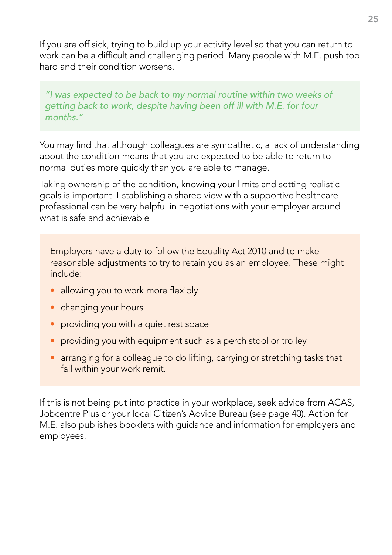If you are off sick, trying to build up your activity level so that you can return to work can be a difficult and challenging period. Many people with M.E. push too hard and their condition worsens.

"I was expected to be back to my normal routine within two weeks of getting back to work, despite having been off ill with M.E. for four months."

You may find that although colleagues are sympathetic, a lack of understanding about the condition means that you are expected to be able to return to normal duties more quickly than you are able to manage.

Taking ownership of the condition, knowing your limits and setting realistic goals is important. Establishing a shared view with a supportive healthcare professional can be very helpful in negotiations with your employer around what is safe and achievable

Employers have a duty to follow the Equality Act 2010 and to make reasonable adjustments to try to retain you as an employee. These might include:

- allowing you to work more flexibly
- changing your hours
- providing you with a quiet rest space
- providing you with equipment such as a perch stool or trolley
- arranging for a colleague to do lifting, carrying or stretching tasks that fall within your work remit.

If this is not being put into practice in your workplace, seek advice from ACAS, Jobcentre Plus or your local Citizen's Advice Bureau (see page 40). Action for M.E. also publishes booklets with guidance and information for employers and employees.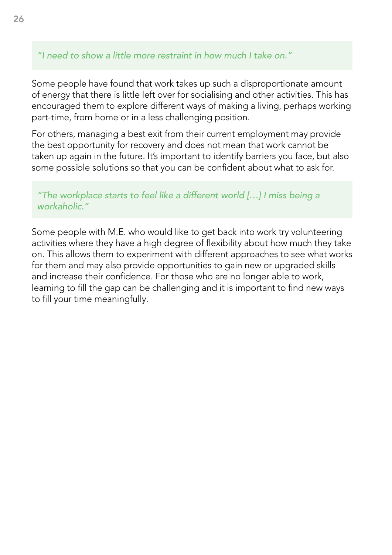#### "I need to show a little more restraint in how much I take on."

Some people have found that work takes up such a disproportionate amount of energy that there is little left over for socialising and other activities. This has encouraged them to explore different ways of making a living, perhaps working part-time, from home or in a less challenging position.

For others, managing a best exit from their current employment may provide the best opportunity for recovery and does not mean that work cannot be taken up again in the future. It's important to identify barriers you face, but also some possible solutions so that you can be confident about what to ask for.

#### "The workplace starts to feel like a different world […] I miss being a workaholic."

Some people with M.E. who would like to get back into work try volunteering activities where they have a high degree of flexibility about how much they take on. This allows them to experiment with different approaches to see what works for them and may also provide opportunities to gain new or upgraded skills and increase their confidence. For those who are no longer able to work, learning to fill the gap can be challenging and it is important to find new ways to fill your time meaningfully.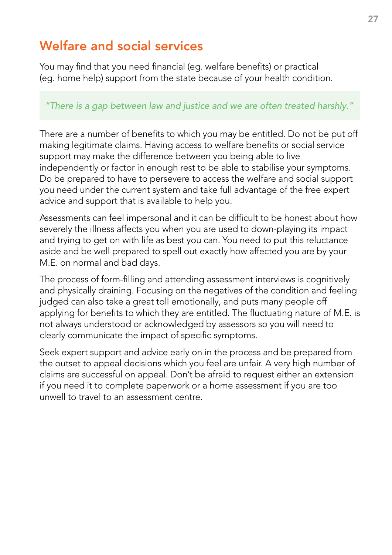# Welfare and social services

You may find that you need financial (eg. welfare benefits) or practical (eg. home help) support from the state because of your health condition.

#### "There is a gap between law and justice and we are often treated harshly."

There are a number of benefits to which you may be entitled. Do not be put off making legitimate claims. Having access to welfare benefits or social service support may make the difference between you being able to live independently or factor in enough rest to be able to stabilise your symptoms. Do be prepared to have to persevere to access the welfare and social support you need under the current system and take full advantage of the free expert advice and support that is available to help you.

Assessments can feel impersonal and it can be difficult to be honest about how severely the illness affects you when you are used to down-playing its impact and trying to get on with life as best you can. You need to put this reluctance aside and be well prepared to spell out exactly how affected you are by your M.E. on normal and bad days.

The process of form-filling and attending assessment interviews is cognitively and physically draining. Focusing on the negatives of the condition and feeling judged can also take a great toll emotionally, and puts many people off applying for benefits to which they are entitled. The fluctuating nature of M.E. is not always understood or acknowledged by assessors so you will need to clearly communicate the impact of specific symptoms.

Seek expert support and advice early on in the process and be prepared from the outset to appeal decisions which you feel are unfair. A very high number of claims are successful on appeal. Don't be afraid to request either an extension if you need it to complete paperwork or a home assessment if you are too unwell to travel to an assessment centre.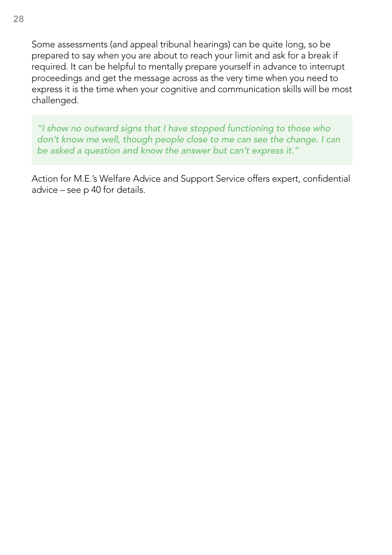Some assessments (and appeal tribunal hearings) can be quite long, so be prepared to say when you are about to reach your limit and ask for a break if required. It can be helpful to mentally prepare yourself in advance to interrupt proceedings and get the message across as the very time when you need to express it is the time when your cognitive and communication skills will be most challenged.

"I show no outward signs that I have stopped functioning to those who don't know me well, though people close to me can see the change. I can be asked a question and know the answer but can't express it."

Action for M.E.'s Welfare Advice and Support Service offers expert, confidential advice – see p 40 for details.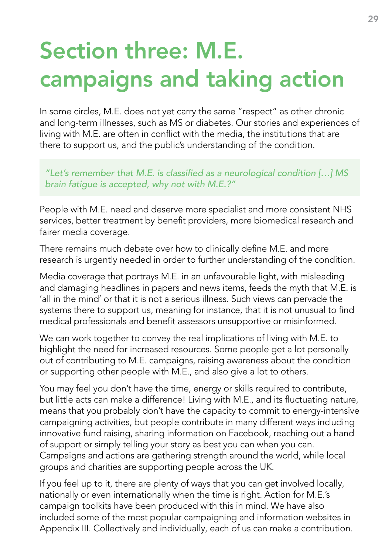# Section three: M.E. campaigns and taking action

In some circles, M.E. does not yet carry the same "respect" as other chronic and long-term illnesses, such as MS or diabetes. Our stories and experiences of living with M.E. are often in conflict with the media, the institutions that are there to support us, and the public's understanding of the condition.

"Let's remember that M.E. is classified as a neurological condition […] MS brain fatigue is accepted, why not with M.E.?"

People with M.E. need and deserve more specialist and more consistent NHS services, better treatment by benefit providers, more biomedical research and fairer media coverage.

There remains much debate over how to clinically define M.E. and more research is urgently needed in order to further understanding of the condition.

Media coverage that portrays M.E. in an unfavourable light, with misleading and damaging headlines in papers and news items, feeds the myth that M.E. is 'all in the mind' or that it is not a serious illness. Such views can pervade the systems there to support us, meaning for instance, that it is not unusual to find medical professionals and benefit assessors unsupportive or misinformed.

We can work together to convey the real implications of living with M.E. to highlight the need for increased resources. Some people get a lot personally out of contributing to M.E. campaigns, raising awareness about the condition or supporting other people with M.E., and also give a lot to others.

You may feel you don't have the time, energy or skills required to contribute, but little acts can make a difference! Living with M.E., and its fluctuating nature, means that you probably don't have the capacity to commit to energy-intensive campaigning activities, but people contribute in many different ways including innovative fund raising, sharing information on Facebook, reaching out a hand of support or simply telling your story as best you can when you can. Campaigns and actions are gathering strength around the world, while local groups and charities are supporting people across the UK.

If you feel up to it, there are plenty of ways that you can get involved locally, nationally or even internationally when the time is right. Action for M.E.'s campaign toolkits have been produced with this in mind. We have also included some of the most popular campaigning and information websites in Appendix III. Collectively and individually, each of us can make a contribution.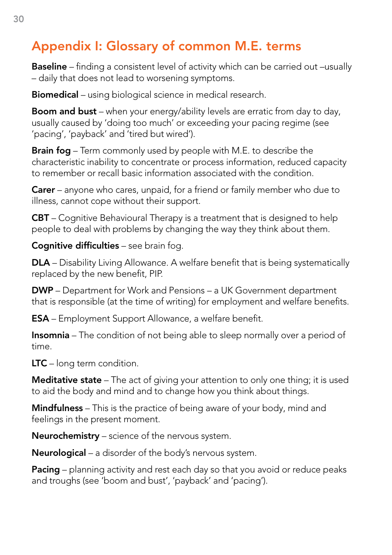# Appendix I: Glossary of common M.E. terms

Baseline – finding a consistent level of activity which can be carried out –usually – daily that does not lead to worsening symptoms.

Biomedical – using biological science in medical research.

**Boom and bust** – when your energy/ability levels are erratic from day to day, usually caused by 'doing too much' or exceeding your pacing regime (see 'pacing', 'payback' and 'tired but wired').

**Brain fog** – Term commonly used by people with M.E. to describe the characteristic inability to concentrate or process information, reduced capacity to remember or recall basic information associated with the condition.

Carer – anyone who cares, unpaid, for a friend or family member who due to illness, cannot cope without their support.

**CBT** – Cognitive Behavioural Therapy is a treatment that is designed to help people to deal with problems by changing the way they think about them.

Cognitive difficulties – see brain fog.

DLA – Disability Living Allowance. A welfare benefit that is being systematically replaced by the new benefit, PIP.

DWP – Department for Work and Pensions – a UK Government department that is responsible (at the time of writing) for employment and welfare benefits.

ESA – Employment Support Allowance, a welfare benefit.

Insomnia – The condition of not being able to sleep normally over a period of time.

LTC – long term condition.

**Meditative state** – The act of giving your attention to only one thing; it is used to aid the body and mind and to change how you think about things.

Mindfulness – This is the practice of being aware of your body, mind and feelings in the present moment.

Neurochemistry – science of the nervous system.

Neurological – a disorder of the body's nervous system.

**Pacing** – planning activity and rest each day so that you avoid or reduce peaks and troughs (see 'boom and bust', 'payback' and 'pacing').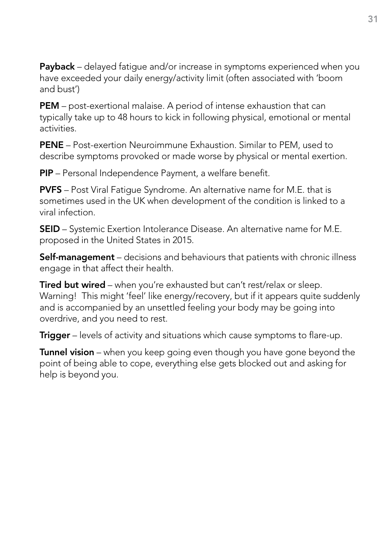**Payback** – delayed fatigue and/or increase in symptoms experienced when you have exceeded your daily energy/activity limit (often associated with 'boom and bust')

PEM – post-exertional malaise. A period of intense exhaustion that can typically take up to 48 hours to kick in following physical, emotional or mental activities.

PENE – Post-exertion Neuroimmune Exhaustion. Similar to PEM, used to describe symptoms provoked or made worse by physical or mental exertion.

PIP – Personal Independence Payment, a welfare benefit.

PVFS – Post Viral Fatigue Syndrome. An alternative name for M.E. that is sometimes used in the UK when development of the condition is linked to a viral infection.

SEID – Systemic Exertion Intolerance Disease. An alternative name for M.E. proposed in the United States in 2015.

**Self-management** – decisions and behaviours that patients with chronic illness engage in that affect their health.

**Tired but wired** – when you're exhausted but can't rest/relax or sleep. Warning! This might 'feel' like energy/recovery, but if it appears quite suddenly and is accompanied by an unsettled feeling your body may be going into overdrive, and you need to rest.

**Trigger** – levels of activity and situations which cause symptoms to flare-up.

**Tunnel vision** – when you keep going even though you have gone beyond the point of being able to cope, everything else gets blocked out and asking for help is beyond you.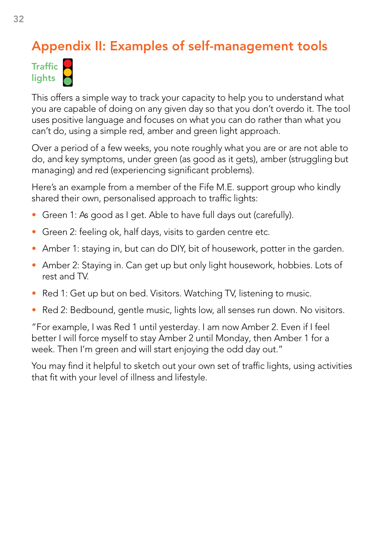# Appendix II: Examples of self-management tools



This offers a simple way to track your capacity to help you to understand what you are capable of doing on any given day so that you don't overdo it. The tool uses positive language and focuses on what you can do rather than what you can't do, using a simple red, amber and green light approach.

Over a period of a few weeks, you note roughly what you are or are not able to do, and key symptoms, under green (as good as it gets), amber (struggling but managing) and red (experiencing significant problems).

Here's an example from a member of the Fife M.E. support group who kindly shared their own, personalised approach to traffic lights:

- Green 1: As good as I get. Able to have full days out (carefully).
- Green 2: feeling ok, half days, visits to garden centre etc.
- Amber 1: staying in, but can do DIY, bit of housework, potter in the garden.
- Amber 2: Staying in. Can get up but only light housework, hobbies. Lots of rest and TV.
- Red 1: Get up but on bed. Visitors. Watching TV, listening to music.
- Red 2: Bedbound, gentle music, lights low, all senses run down. No visitors.

"For example, I was Red 1 until yesterday. I am now Amber 2. Even if I feel better I will force myself to stay Amber 2 until Monday, then Amber 1 for a week. Then I'm green and will start enjoying the odd day out."

You may find it helpful to sketch out your own set of traffic lights, using activities that fit with your level of illness and lifestyle.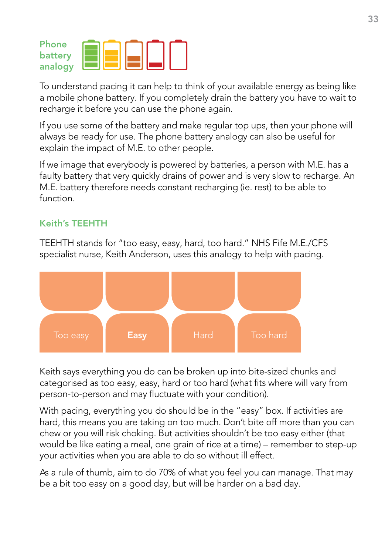

To understand pacing it can help to think of your available energy as being like a mobile phone battery. If you completely drain the battery you have to wait to recharge it before you can use the phone again.

If you use some of the battery and make regular top ups, then your phone will always be ready for use. The phone battery analogy can also be useful for explain the impact of M.E. to other people.

If we image that everybody is powered by batteries, a person with M.E. has a faulty battery that very quickly drains of power and is very slow to recharge. An M.E. battery therefore needs constant recharging (ie. rest) to be able to function.

#### Keith's TEEHTH

TEEHTH stands for "too easy, easy, hard, too hard." NHS Fife M.E./CFS specialist nurse, Keith Anderson, uses this analogy to help with pacing.



Keith says everything you do can be broken up into bite-sized chunks and categorised as too easy, easy, hard or too hard (what fits where will vary from person-to-person and may fluctuate with your condition).

With pacing, everything you do should be in the "easy" box. If activities are hard, this means you are taking on too much. Don't bite off more than you can chew or you will risk choking. But activities shouldn't be too easy either (that would be like eating a meal, one grain of rice at a time) – remember to step-up your activities when you are able to do so without ill effect.

As a rule of thumb, aim to do 70% of what you feel you can manage. That may be a bit too easy on a good day, but will be harder on a bad day.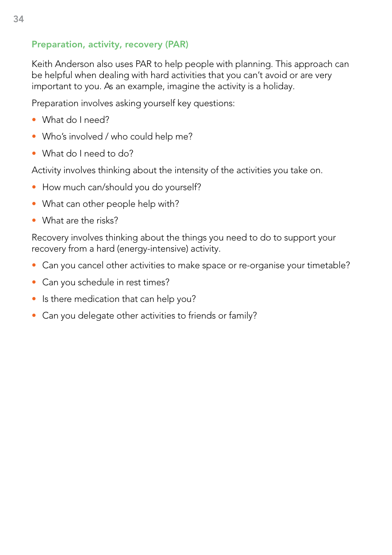#### Preparation, activity, recovery (PAR)

Keith Anderson also uses PAR to help people with planning. This approach can be helpful when dealing with hard activities that you can't avoid or are very important to you. As an example, imagine the activity is a holiday.

Preparation involves asking yourself key questions:

- What do I need?
- Who's involved / who could help me?
- • What do I need to do?

Activity involves thinking about the intensity of the activities you take on.

- How much can/should you do yourself?
- What can other people help with?
- • What are the risks?

Recovery involves thinking about the things you need to do to support your recovery from a hard (energy-intensive) activity.

- Can you cancel other activities to make space or re-organise your timetable?
- Can you schedule in rest times?
- Is there medication that can help you?
- Can you delegate other activities to friends or family?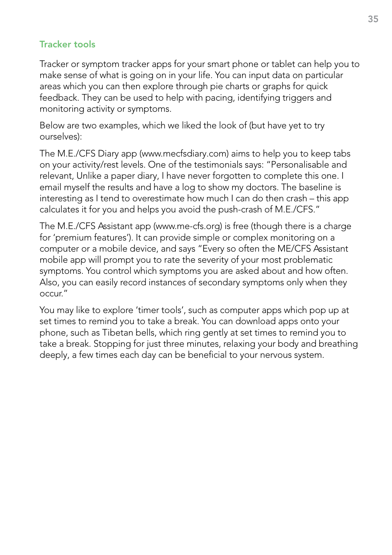#### Tracker tools

Tracker or symptom tracker apps for your smart phone or tablet can help you to make sense of what is going on in your life. You can input data on particular areas which you can then explore through pie charts or graphs for quick feedback. They can be used to help with pacing, identifying triggers and monitoring activity or symptoms.

Below are two examples, which we liked the look of (but have yet to try ourselves):

The M.E./CFS Diary app (www.mecfsdiary.com) aims to help you to keep tabs on your activity/rest levels. One of the testimonials says: "Personalisable and relevant, Unlike a paper diary, I have never forgotten to complete this one. I email myself the results and have a log to show my doctors. The baseline is interesting as I tend to overestimate how much I can do then crash – this app calculates it for you and helps you avoid the push-crash of M.E./CFS."

The M.E./CFS Assistant app (www.me-cfs.org) is free (though there is a charge for 'premium features'). It can provide simple or complex monitoring on a computer or a mobile device, and says "Every so often the ME/CFS Assistant mobile app will prompt you to rate the severity of your most problematic symptoms. You control which symptoms you are asked about and how often. Also, you can easily record instances of secondary symptoms only when they occur."

You may like to explore 'timer tools', such as computer apps which pop up at set times to remind you to take a break. You can download apps onto your phone, such as Tibetan bells, which ring gently at set times to remind you to take a break. Stopping for just three minutes, relaxing your body and breathing deeply, a few times each day can be beneficial to your nervous system.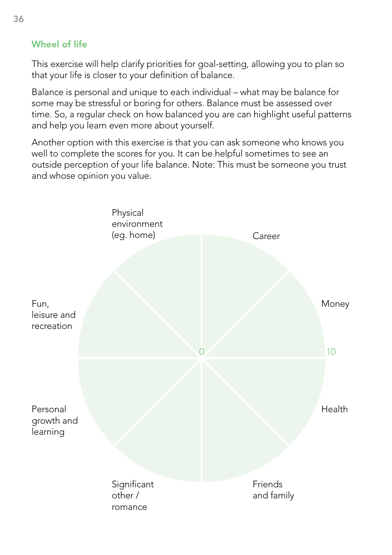#### Wheel of life

This exercise will help clarify priorities for goal-setting, allowing you to plan so that your life is closer to your definition of balance.

Balance is personal and unique to each individual – what may be balance for some may be stressful or boring for others. Balance must be assessed over time. So, a regular check on how balanced you are can highlight useful patterns and help you learn even more about yourself.

Another option with this exercise is that you can ask someone who knows you well to complete the scores for you. It can be helpful sometimes to see an outside perception of your life balance. Note: This must be someone you trust and whose opinion you value.

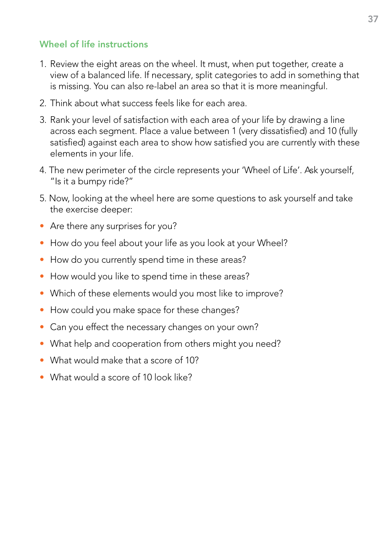#### Wheel of life instructions

- 1. Review the eight areas on the wheel. It must, when put together, create a view of a balanced life. If necessary, split categories to add in something that is missing. You can also re-label an area so that it is more meaningful.
- 2. Think about what success feels like for each area.
- 3. Rank your level of satisfaction with each area of your life by drawing a line across each segment. Place a value between 1 (very dissatisfied) and 10 (fully satisfied) against each area to show how satisfied you are currently with these elements in your life.
- 4. The new perimeter of the circle represents your 'Wheel of Life'. Ask yourself, "Is it a bumpy ride?"
- 5. Now, looking at the wheel here are some questions to ask yourself and take the exercise deeper:
- Are there any surprises for you?
- How do you feel about your life as you look at your Wheel?
- How do you currently spend time in these areas?
- How would you like to spend time in these areas?
- Which of these elements would you most like to improve?
- How could you make space for these changes?
- Can you effect the necessary changes on your own?
- What help and cooperation from others might you need?
- What would make that a score of 10?
- What would a score of 10 look like?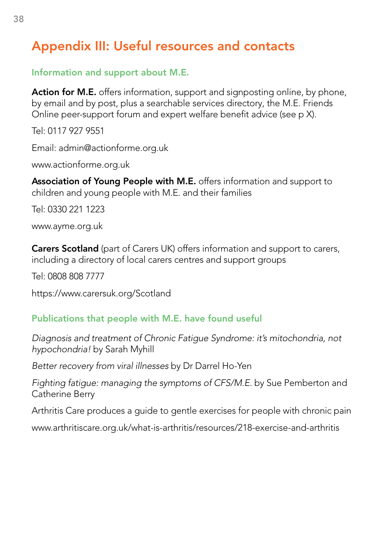# Appendix III: Useful resources and contacts

#### Information and support about M.E.

Action for M.E. offers information, support and signposting online, by phone, by email and by post, plus a searchable services directory, the M.E. Friends Online peer-support forum and expert welfare benefit advice (see p X).

Tel: 0117 927 9551

Email: admin@actionforme.org.uk

www.actionforme.org.uk

Association of Young People with M.E. offers information and support to children and young people with M.E. and their families

Tel: 0330 221 1223

www.ayme.org.uk

**Carers Scotland** (part of Carers UK) offers information and support to carers, including a directory of local carers centres and support groups

Tel: 0808 808 7777

https://www.carersuk.org/Scotland

#### Publications that people with M.E. have found useful

Diagnosis and treatment of Chronic Fatigue Syndrome: it's mitochondria, not hypochondria! by Sarah Myhill

Better recovery from viral illnesses by Dr Darrel Ho-Yen

Fighting fatigue: managing the symptoms of CFS/M.E. by Sue Pemberton and Catherine Berry

Arthritis Care produces a guide to gentle exercises for people with chronic pain

www.arthritiscare.org.uk/what-is-arthritis/resources/218-exercise-and-arthritis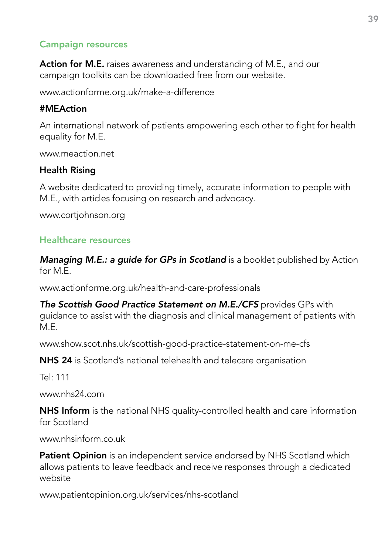#### Campaign resources

Action for M.E. raises awareness and understanding of M.E., and our campaign toolkits can be downloaded free from our website.

www.actionforme.org.uk/make-a-difference

#### #MEAction

An international network of patients empowering each other to fight for health equality for M.E.

www.meaction.net

#### Health Rising

A website dedicated to providing timely, accurate information to people with M.E., with articles focusing on research and advocacy.

www.cortjohnson.org

#### Healthcare resources

**Managing M.E.: a guide for GPs in Scotland** is a booklet published by Action for M<sub>F</sub>

www.actionforme.org.uk/health-and-care-professionals

The Scottish Good Practice Statement on M.E./CFS provides GPs with guidance to assist with the diagnosis and clinical management of patients with M.E.

www.show.scot.nhs.uk/scottish-good-practice-statement-on-me-cfs

NHS 24 is Scotland's national telehealth and telecare organisation

Tel: 111

www.nhs24.com

NHS Inform is the national NHS quality-controlled health and care information for Scotland

www.nhsinform.co.uk

**Patient Opinion** is an independent service endorsed by NHS Scotland which allows patients to leave feedback and receive responses through a dedicated website

www.patientopinion.org.uk/services/nhs-scotland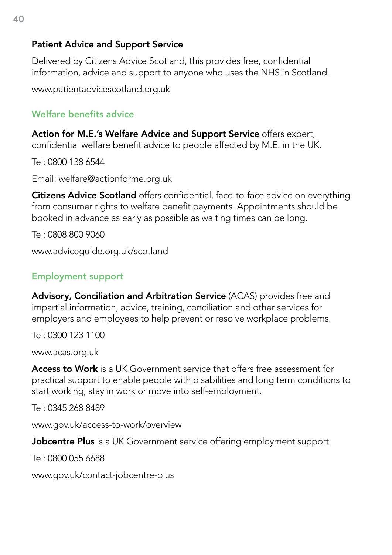Delivered by Citizens Advice Scotland, this provides free, confidential information, advice and support to anyone who uses the NHS in Scotland.

www.patientadvicescotland.org.uk

#### Welfare benefits advice

Action for M.E.'s Welfare Advice and Support Service offers expert, confidential welfare benefit advice to people affected by M.E. in the UK.

Tel: 0800 138 6544

Email: welfare@actionforme.org.uk

Citizens Advice Scotland offers confidential, face-to-face advice on everything from consumer rights to welfare benefit payments. Appointments should be booked in advance as early as possible as waiting times can be long.

Tel: 0808 800 9060

www.adviceguide.org.uk/scotland

#### Employment support

Advisory, Conciliation and Arbitration Service (ACAS) provides free and impartial information, advice, training, conciliation and other services for employers and employees to help prevent or resolve workplace problems.

Tel: 0300 123 1100

www.acas.org.uk

Access to Work is a UK Government service that offers free assessment for practical support to enable people with disabilities and long term conditions to start working, stay in work or move into self-employment.

Tel: 0345 268 8489

www.gov.uk/access-to-work/overview

**Jobcentre Plus** is a UK Government service offering employment support

Tel: 0800 055 6688

www.gov.uk/contact-jobcentre-plus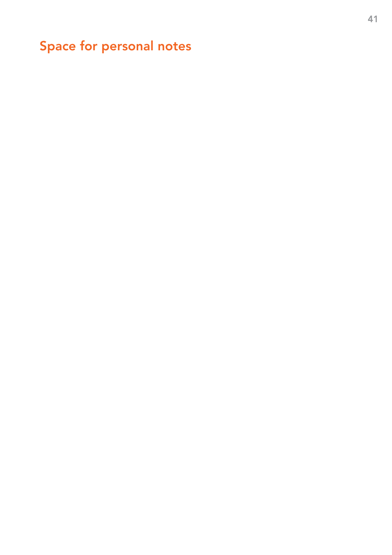# Space for personal notes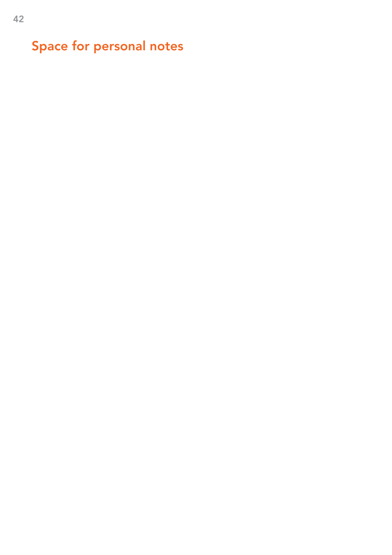Space for personal notes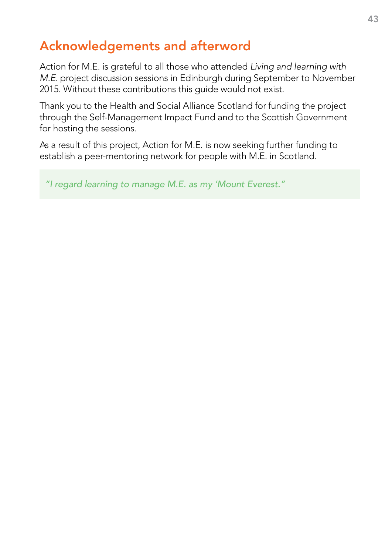# Acknowledgements and afterword

Action for M.E. is grateful to all those who attended Living and learning with M.E. project discussion sessions in Edinburgh during September to November 2015. Without these contributions this guide would not exist.

Thank you to the Health and Social Alliance Scotland for funding the project through the Self-Management Impact Fund and to the Scottish Government for hosting the sessions.

As a result of this project, Action for M.E. is now seeking further funding to establish a peer-mentoring network for people with M.E. in Scotland.

"I regard learning to manage M.E. as my 'Mount Everest."